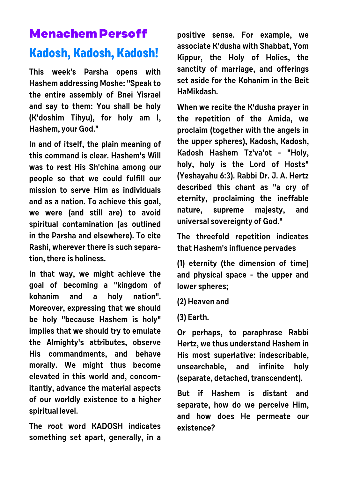## **Menachem Persoff**

## **Kadosh, Kadosh, Kadosh!**

**This week's Parsha opens with Hashem addressing Moshe: "Speak to the entire assembly of Bnei Yisrael and say to them: You shall be holy (K'doshim Tihyu), for holy am I, Hashem, your God."**

**In and of itself, the plain meaning of this command is clear. Hashem's Will was to rest His Sh'china among our people so that we could fulfill our mission to serve Him as individuals and as a nation. To achieve this goal, we were (and still are) to avoid spiritual contamination (as outlined in the Parsha and elsewhere). To cite Rashi, wherever there is such separation, there is holiness.** 

**In that way, we might achieve the goal of becoming a "kingdom of kohanim and a holy nation". Moreover, expressing that we should be holy "because Hashem is holy" implies that we should try to emulate the Almighty's attributes, observe His commandments, and behave morally. We might thus become elevated in this world and, concomitantly, advance the material aspects of our worldly existence to a higher spiritual level.**

**The root word KADOSH indicates something set apart, generally, in a** **positive sense. For example, we associate K'dusha with Shabbat, Yom Kippur, the Holy of Holies, the sanctity of marriage, and offerings set aside for the Kohanim in the Beit HaMikdash.**

**When we recite the K'dusha prayer in the repetition of the Amida, we proclaim (together with the angels in the upper spheres), Kadosh, Kadosh, Kadosh Hashem Tz'va'ot - "Holy, holy, holy is the Lord of Hosts" (Yeshayahu 6:3). Rabbi Dr. J. A. Hertz described this chant as "a cry of eternity, proclaiming the ineffable nature, supreme majesty, and universal sovereignty of God."** 

**The threefold repetition indicates that Hashem's influence pervades** 

**(1) eternity (the dimension of time) and physical space - the upper and lower spheres;** 

- **(2) Heaven and**
- **(3) Earth.**

**Or perhaps, to paraphrase Rabbi Hertz, we thus understand Hashem in His most superlative: indescribable, unsearchable, and infinite holy (separate, detached, transcendent).** 

**But if Hashem is distant and separate, how do we perceive Him, and how does He permeate our existence?**